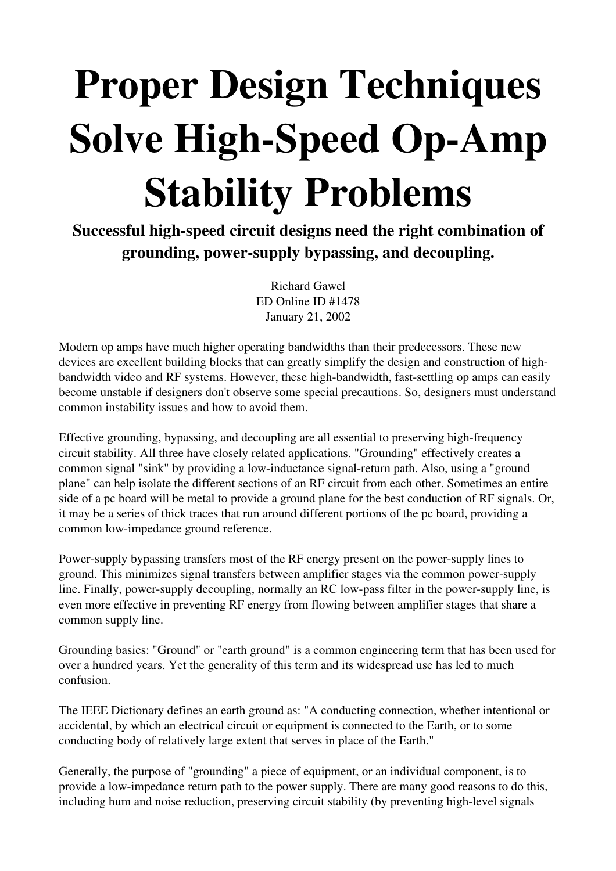## Proper Design Techniques Solve High-Speed Op-Amp Stability Problems

Successful high-speed circuit designs need the right combination of grounding, power-supply bypassing, and decoupling.

> Richard Gawel ED Online ID #1478 January 21, 2002

Modern op amps have much higher operating bandwidths than their predecessors. These new devices are excellent building blocks that can greatly simplify the design and construction of highbandwidth video and RF systems. However, these high-bandwidth, fast-settling op amps can easily become unstable if designers don't observe some special precautions. So, designers must understand common instability issues and how to avoid them.

Effective grounding, bypassing, and decoupling are all essential to preserving high-frequency circuit stability. All three have closely related applications. "Grounding" effectively creates a common signal "sink" by providing a low-inductance signal-return path. Also, using a "ground plane" can help isolate the different sections of an RF circuit from each other. Sometimes an entire side of a pc board will be metal to provide a ground plane for the best conduction of RF signals. Or, it may be a series of thick traces that run around different portions of the pc board, providing a common low-impedance ground reference.

Power-supply bypassing transfers most of the RF energy present on the power-supply lines to ground. This minimizes signal transfers between amplifier stages via the common power-supply line. Finally, power-supply decoupling, normally an RC low-pass filter in the power-supply line, is even more effective in preventing RF energy from flowing between amplifier stages that share a common supply line.

Grounding basics: "Ground" or "earth ground" is a common engineering term that has been used for over a hundred years. Yet the generality of this term and its widespread use has led to much confusion.

The IEEE Dictionary defines an earth ground as: "A conducting connection, whether intentional or accidental, by which an electrical circuit or equipment is connected to the Earth, or to some conducting body of relatively large extent that serves in place of the Earth."

Generally, the purpose of "grounding" a piece of equipment, or an individual component, is to provide a low-impedance return path to the power supply. There are many good reasons to do this, including hum and noise reduction, preserving circuit stability (by preventing high-level signals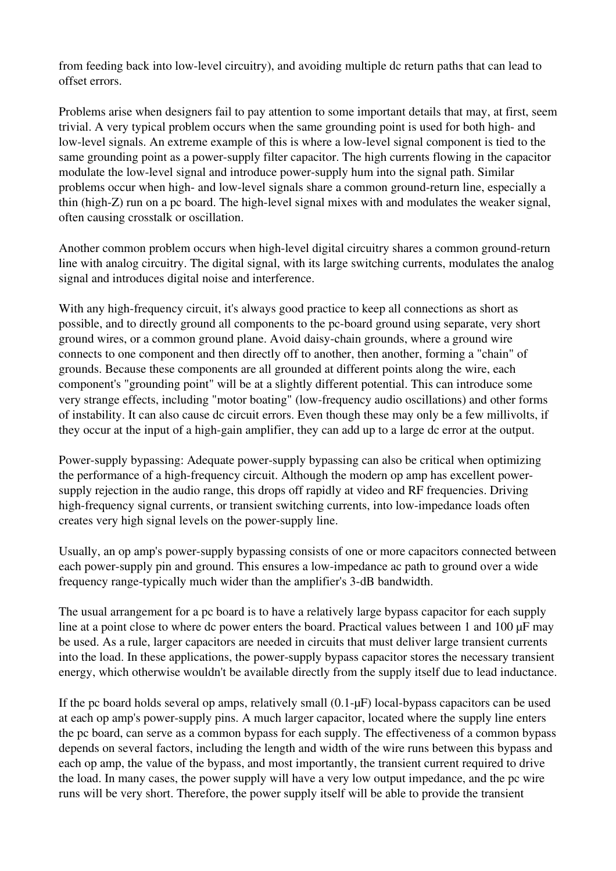from feeding back into low-level circuitry), and avoiding multiple dc return paths that can lead to offset errors.

Problems arise when designers fail to pay attention to some important details that may, at first, seem trivial. A very typical problem occurs when the same grounding point is used for both high- and low-level signals. An extreme example of this is where a low-level signal component is tied to the same grounding point as a power-supply filter capacitor. The high currents flowing in the capacitor modulate the low-level signal and introduce power-supply hum into the signal path. Similar problems occur when high- and low-level signals share a common ground-return line, especially a thin (high-Z) run on a pc board. The high-level signal mixes with and modulates the weaker signal, often causing crosstalk or oscillation.

Another common problem occurs when high-level digital circuitry shares a common ground-return line with analog circuitry. The digital signal, with its large switching currents, modulates the analog signal and introduces digital noise and interference.

With any high-frequency circuit, it's always good practice to keep all connections as short as possible, and to directly ground all components to the pc-board ground using separate, very short ground wires, or a common ground plane. Avoid daisy-chain grounds, where a ground wire connects to one component and then directly off to another, then another, forming a "chain" of grounds. Because these components are all grounded at different points along the wire, each component's "grounding point" will be at a slightly different potential. This can introduce some very strange effects, including "motor boating" (low-frequency audio oscillations) and other forms of instability. It can also cause dc circuit errors. Even though these may only be a few millivolts, if they occur at the input of a high-gain amplifier, they can add up to a large dc error at the output.

Power-supply bypassing: Adequate power-supply bypassing can also be critical when optimizing the performance of a high-frequency circuit. Although the modern op amp has excellent powersupply rejection in the audio range, this drops off rapidly at video and RF frequencies. Driving high-frequency signal currents, or transient switching currents, into low-impedance loads often creates very high signal levels on the power-supply line.

Usually, an op amp's power-supply bypassing consists of one or more capacitors connected between each power-supply pin and ground. This ensures a low-impedance ac path to ground over a wide frequency range-typically much wider than the amplifier's 3-dB bandwidth.

The usual arrangement for a pc board is to have a relatively large bypass capacitor for each supply line at a point close to where dc power enters the board. Practical values between 1 and 100 µF may be used. As a rule, larger capacitors are needed in circuits that must deliver large transient currents into the load. In these applications, the power-supply bypass capacitor stores the necessary transient energy, which otherwise wouldn't be available directly from the supply itself due to lead inductance.

If the pc board holds several op amps, relatively small  $(0.1-\mu F)$  local-bypass capacitors can be used at each op amp's power-supply pins. A much larger capacitor, located where the supply line enters the pc board, can serve as a common bypass for each supply. The effectiveness of a common bypass depends on several factors, including the length and width of the wire runs between this bypass and each op amp, the value of the bypass, and most importantly, the transient current required to drive the load. In many cases, the power supply will have a very low output impedance, and the pc wire runs will be very short. Therefore, the power supply itself will be able to provide the transient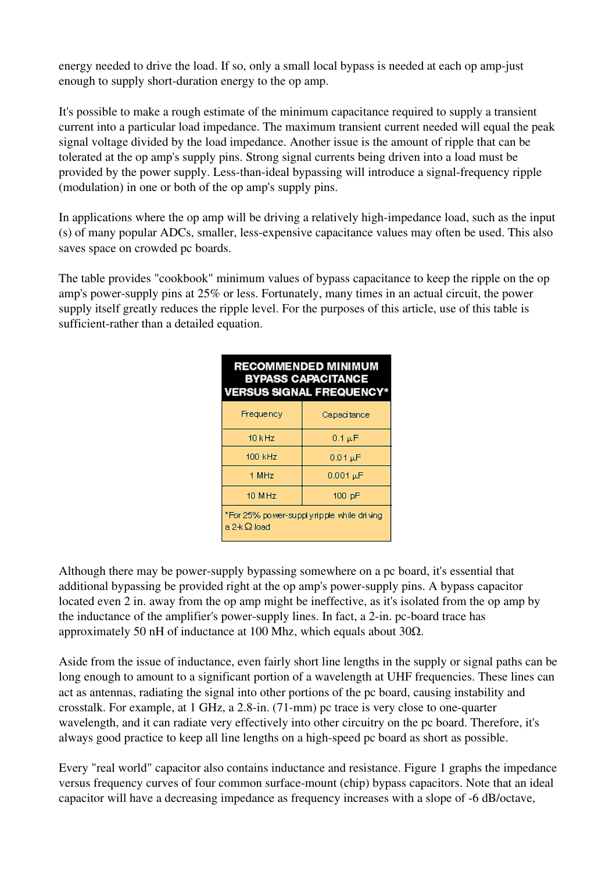energy needed to drive the load. If so, only a small local bypass is needed at each op amp-just enough to supply short-duration energy to the op amp.

It's possible to make a rough estimate of the minimum capacitance required to supply a transient current into a particular load impedance. The maximum transient current needed will equal the peak signal voltage divided by the load impedance. Another issue is the amount of ripple that can be tolerated at the op amp's supply pins. Strong signal currents being driven into a load must be provided by the power supply. Less-than-ideal bypassing will introduce a signal-frequency ripple (modulation) in one or both of the op amp's supply pins.

In applications where the op amp will be driving a relatively high-impedance load, such as the input (s) of many popular ADCs, smaller, lessexpensive capacitance values may often be used. This also saves space on crowded pc boards.

The table provides "cookbook" minimum values of bypass capacitance to keep the ripple on the op amp's power-supply pins at  $25\%$  or less. Fortunately, many times in an actual circuit, the power supply itself greatly reduces the ripple level. For the purposes of this article, use of this table is sufficient-rather than a detailed equation.

| <b>RECOMMENDED MINIMUM</b><br><b>BYPASS CAPACITANCE</b><br><b>VERSUS SIGNAL FREQUENCY*</b> |                            |
|--------------------------------------------------------------------------------------------|----------------------------|
| Frequency                                                                                  | Capacitance                |
| $10$ kHz                                                                                   | $0.1 \,\mathrm{\upmu F}$   |
| 100 kHz                                                                                    | $0.01 \,\mathrm{\upmu F}$  |
| 1 MHz                                                                                      | $0.001 \,\mathrm{\upmu F}$ |
| 10 M Hz                                                                                    | 100 pF                     |
| "For 25% power-supplyripple while driving<br>a 2 + Ω load                                  |                            |

Although there may be power-supply bypassing somewhere on a pc board, it's essential that additional bypassing be provided right at the op amp's power-supply pins. A bypass capacitor located even 2 in. away from the op amp might be ineffective, as it's isolated from the op amp by the inductance of the amplifier's power-supply lines. In fact, a 2-in. pc-board trace has approximately 50 nH of inductance at 100 Mhz, which equals about  $30\Omega$ .

Aside from the issue of inductance, even fairly short line lengths in the supply or signal paths can be long enough to amount to a significant portion of a wavelength at UHF frequencies. These lines can act as antennas, radiating the signal into other portions of the pc board, causing instability and crosstalk. For example, at  $1 \text{ GHz}$ , a  $2.8$ -in. (71-mm) pc trace is very close to one-quarter wavelength, and it can radiate very effectively into other circuitry on the pc board. Therefore, it's always good practice to keep all line lengths on a high-speed pc board as short as possible.

Every "real world" capacitor also contains inductance and resistance. Figure 1 graphs the impedance versus frequency curves of four common surface-mount (chip) bypass capacitors. Note that an ideal capacitor will have a decreasing impedance as frequency increases with a slope of -6 dB/octave,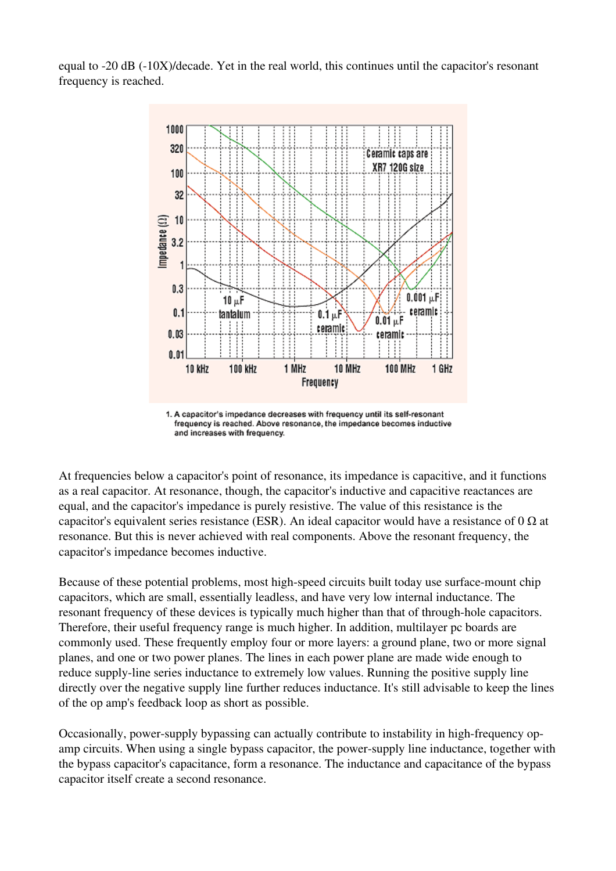equal to  $-20$  dB  $(-10X)/$ decade. Yet in the real world, this continues until the capacitor's resonant frequency is reached.



1. A capacitor's impedance decreases with frequency until its self-resonant frequency is reached. Above resonance, the impedance becomes inductive and increases with frequency.

At frequencies below a capacitor's point of resonance, its impedance is capacitive, and it functions as a real capacitor. At resonance, though, the capacitor's inductive and capacitive reactances are equal, and the capacitor's impedance is purely resistive. The value of this resistance is the capacitor's equivalent series resistance (ESR). An ideal capacitor would have a resistance of 0  $\Omega$  at resonance. But this is never achieved with real components. Above the resonant frequency, the capacitor's impedance becomes inductive.

Because of these potential problems, most high-speed circuits built today use surface-mount chip capacitors, which are small, essentially leadless, and have very low internal inductance. The resonant frequency of these devices is typically much higher than that of through-hole capacitors. Therefore, their useful frequency range is much higher. In addition, multilayer pc boards are commonly used. These frequently employ four or more layers: a ground plane, two or more signal planes, and one or two power planes. The lines in each power plane are made wide enough to reduce supply-line series inductance to extremely low values. Running the positive supply line directly over the negative supply line further reduces inductance. It's still advisable to keep the lines of the op amp's feedback loop as short as possible.

Occasionally, power-supply bypassing can actually contribute to instability in high-frequency opamp circuits. When using a single bypass capacitor, the power-supply line inductance, together with the bypass capacitor's capacitance, form a resonance. The inductance and capacitance of the bypass capacitor itself create a second resonance.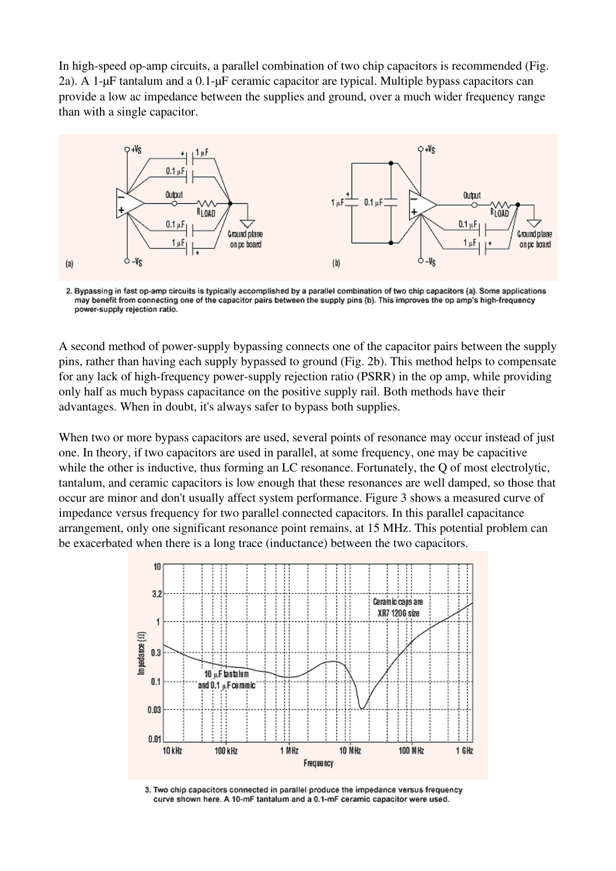In high-speed op-amp circuits, a parallel combination of two chip capacitors is recommended (Fig. 2a). A 1-µF tantalum and a 0.1-µF ceramic capacitor are typical. Multiple bypass capacitors can provide a low ac impedance between the supplies and ground, over a much wider frequency range than with a single capacitor.



2. Bypassing in fast op-amp circuits is typically accomplished by a parallel combination of two chip capacitors (a). Some applications may benefit from connecting one of the capacitor pairs between the supply pins (b). This improves the op amp's high-frequency power-supply rejection ratio.

A second method of power-supply bypassing connects one of the capacitor pairs between the supply pins, rather than having each supply bypassed to ground (Fig. 2b). This method helps to compensate for any lack of high-frequency power-supply rejection ratio (PSRR) in the op amp, while providing only half as much bypass capacitance on the positive supply rail. Both methods have their advantages. When in doubt, it's always safer to bypass both supplies.

When two or more bypass capacitors are used, several points of resonance may occur instead of just one. In theory, if two capacitors are used in parallel, at some frequency, one may be capacitive while the other is inductive, thus forming an LC resonance. Fortunately, the Q of most electrolytic, tantalum, and ceramic capacitors is low enough that these resonances are well damped, so those that occur are minor and don't usually affect system performance. Figure 3 shows a measured curve of impedance versus frequency for two parallel connected capacitors. In this parallel capacitance arrangement, only one significant resonance point remains, at 15 MHz. This potential problem can be exacerbated when there is a long trace (inductance) between the two capacitors.



3. Two chip capacitors connected in parallel produce the impedance versus frequency curve shown here. A 10-mF tantalum and a 0.1-mF ceramic capacitor were used.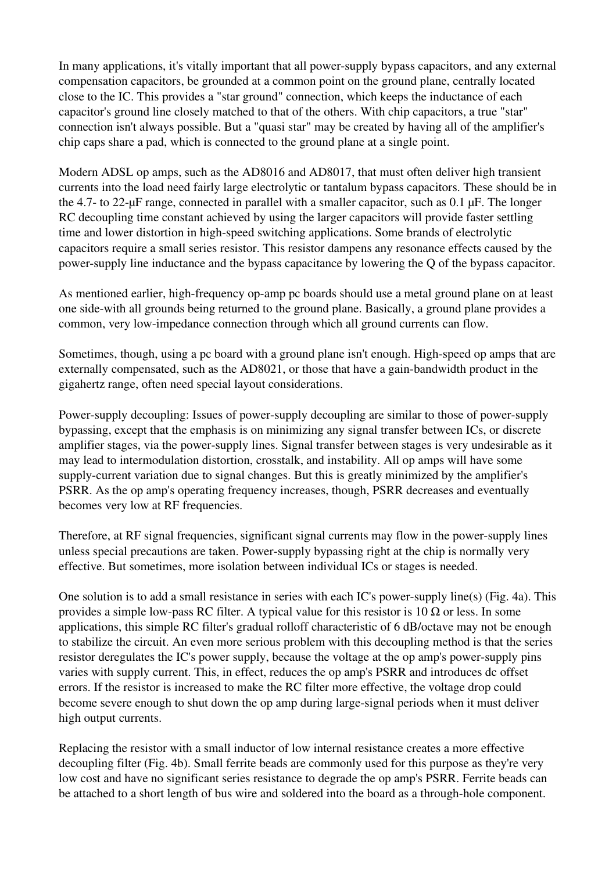In many applications, it's vitally important that all power-supply bypass capacitors, and any external compensation capacitors, be grounded at a common point on the ground plane, centrally located close to the IC. This provides a "star ground" connection, which keeps the inductance of each capacitor's ground line closely matched to that of the others. With chip capacitors, a true "star" connection isn't always possible. But a "quasi star" may be created by having all of the amplifier's chip caps share a pad, which is connected to the ground plane at a single point.

Modern ADSL op amps, such as the AD8016 and AD8017, that must often deliver high transient currents into the load need fairly large electrolytic or tantalum bypass capacitors. These should be in the 4.7- to 22- $\mu$ F range, connected in parallel with a smaller capacitor, such as 0.1  $\mu$ F. The longer RC decoupling time constant achieved by using the larger capacitors will provide faster settling time and lower distortion in high-speed switching applications. Some brands of electrolytic capacitors require a small series resistor. This resistor dampens any resonance effects caused by the power-supply line inductance and the bypass capacitance by lowering the Q of the bypass capacitor.

As mentioned earlier, high-frequency op-amp pc boards should use a metal ground plane on at least one side-with all grounds being returned to the ground plane. Basically, a ground plane provides a common, very low-impedance connection through which all ground currents can flow.

Sometimes, though, using a pc board with a ground plane isn't enough. High-speed op amps that are externally compensated, such as the AD8021, or those that have a gain-bandwidth product in the gigahertz range, often need special layout considerations.

Power-supply decoupling: Issues of power-supply decoupling are similar to those of power-supply bypassing, except that the emphasis is on minimizing any signal transfer between ICs, or discrete amplifier stages, via the power-supply lines. Signal transfer between stages is very undesirable as it may lead to intermodulation distortion, crosstalk, and instability. All op amps will have some supply-current variation due to signal changes. But this is greatly minimized by the amplifier's PSRR. As the op amp's operating frequency increases, though, PSRR decreases and eventually becomes very low at RF frequencies.

Therefore, at RF signal frequencies, significant signal currents may flow in the power-supply lines unless special precautions are taken. Power-supply bypassing right at the chip is normally very effective. But sometimes, more isolation between individual ICs or stages is needed.

One solution is to add a small resistance in series with each IC's power-supply line(s) (Fig. 4a). This provides a simple low-pass RC filter. A typical value for this resistor is 10  $\Omega$  or less. In some applications, this simple RC filter's gradual rolloff characteristic of 6 dB/octave may not be enough to stabilize the circuit. An even more serious problem with this decoupling method is that the series resistor deregulates the IC's power supply, because the voltage at the op amp's power-supply pins varies with supply current. This, in effect, reduces the op amp's PSRR and introduces dc offset errors. If the resistor is increased to make the RC filter more effective, the voltage drop could become severe enough to shut down the op amp during large-signal periods when it must deliver high output currents.

Replacing the resistor with a small inductor of low internal resistance creates a more effective decoupling filter (Fig. 4b). Small ferrite beads are commonly used for this purpose as they're very low cost and have no significant series resistance to degrade the op amp's PSRR. Ferrite beads can be attached to a short length of bus wire and soldered into the board as a through-hole component.